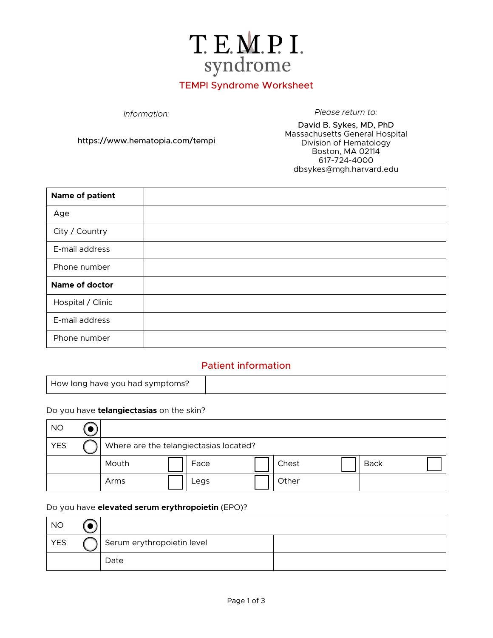

# TEMPI Syndrome Worksheet

*Information: Please return to:*

https://www.hematopia.com/tempi

David B. Sykes, MD, PhD Massachusetts General Hospital Division of Hematology Boston, MA 02114 617-724-4000 dbsykes@mgh.harvard.edu

| Name of patient   |  |
|-------------------|--|
| Age               |  |
| City / Country    |  |
| E-mail address    |  |
| Phone number      |  |
| Name of doctor    |  |
| Hospital / Clinic |  |
| E-mail address    |  |
| Phone number      |  |

#### Patient information

|--|

#### Do you have **telangiectasias** on the skin?

| <b>NO</b>  |                                        |      |       |             |
|------------|----------------------------------------|------|-------|-------------|
| <b>YES</b> | Where are the telangiectasias located? |      |       |             |
|            | Mouth                                  | Face | Chest | <b>Back</b> |
|            | Arms                                   | Legs | Other |             |

#### Do you have **elevated serum erythropoietin** (EPO)?

| <b>NO</b>  |                            |  |
|------------|----------------------------|--|
| <b>YES</b> | Serum erythropoietin level |  |
|            | Date                       |  |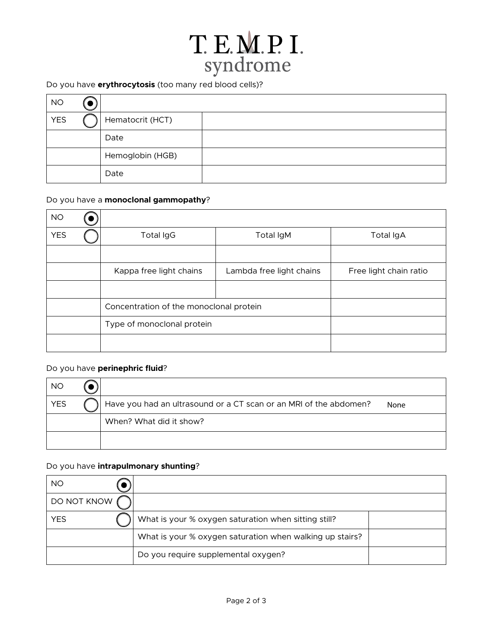# T. E. M. P. I.<br>syndrome

### Do you have **erythrocytosis** (too many red blood cells)?

| <b>NO</b>  |                  |  |
|------------|------------------|--|
| <b>YES</b> | Hematocrit (HCT) |  |
|            | Date             |  |
|            | Hemoglobin (HGB) |  |
|            | Date             |  |

#### Do you have a **monoclonal gammopathy**?

| <b>NO</b>  |                                         |                          |                        |
|------------|-----------------------------------------|--------------------------|------------------------|
| <b>YES</b> | <b>Total IgG</b>                        | Total IgM                | <b>Total IgA</b>       |
|            |                                         |                          |                        |
|            | Kappa free light chains                 | Lambda free light chains | Free light chain ratio |
|            |                                         |                          |                        |
|            | Concentration of the monoclonal protein |                          |                        |
|            | Type of monoclonal protein              |                          |                        |
|            |                                         |                          |                        |

#### Do you have **perinephric fluid**?

| <b>NO</b>  |                                                                   |      |
|------------|-------------------------------------------------------------------|------|
| <b>YES</b> | Have you had an ultrasound or a CT scan or an MRI of the abdomen? | None |
|            | When? What did it show?                                           |      |
|            |                                                                   |      |

#### Do you have **intrapulmonary shunting**?

| <b>NO</b>   |                                                          |  |
|-------------|----------------------------------------------------------|--|
| DO NOT KNOW |                                                          |  |
| YES         | What is your % oxygen saturation when sitting still?     |  |
|             | What is your % oxygen saturation when walking up stairs? |  |
|             | Do you require supplemental oxygen?                      |  |